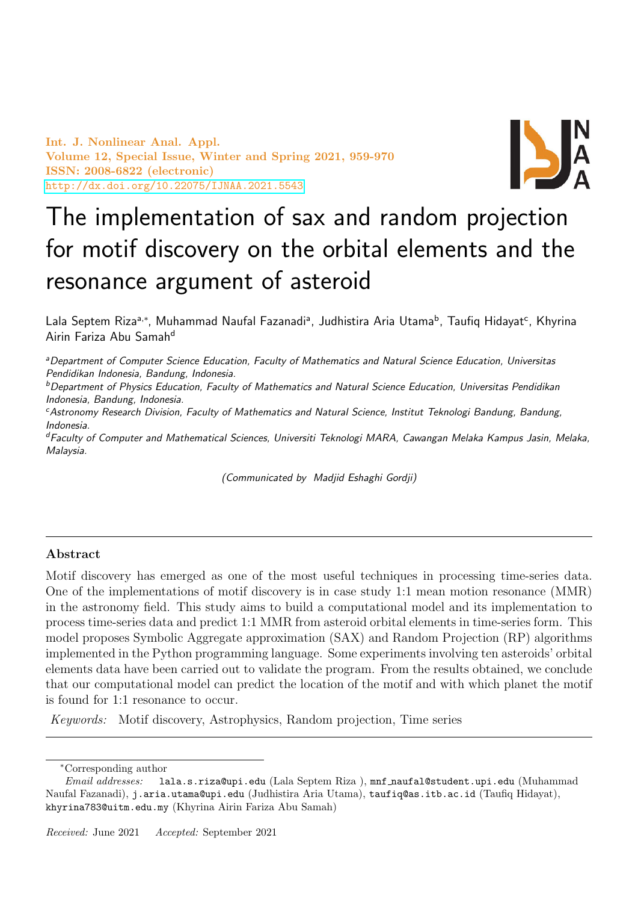Int. J. Nonlinear Anal. Appl. Volume 12, Special Issue, Winter and Spring 2021, 959-970 ISSN: 2008-6822 (electronic) <http://dx.doi.org/10.22075/IJNAA.2021.5543>



# The implementation of sax and random projection for motif discovery on the orbital elements and the resonance argument of asteroid

Lala Septem Rizaª<sup>,∗</sup>, Muhammad Naufal Fazanadiª, Judhistira Aria Utama<sup>b</sup>, Taufiq Hidayat<sup>c</sup>, Khyrina Airin Fariza Abu Samah<sup>d</sup>

<sup>a</sup>Department of Computer Science Education, Faculty of Mathematics and Natural Science Education, Universitas Pendidikan Indonesia, Bandung, Indonesia.

<sup>b</sup>Department of Physics Education, Faculty of Mathematics and Natural Science Education, Universitas Pendidikan Indonesia, Bandung, Indonesia.

<sup>c</sup>Astronomy Research Division, Faculty of Mathematics and Natural Science, Institut Teknologi Bandung, Bandung, Indonesia.

<sup>d</sup>Faculty of Computer and Mathematical Sciences, Universiti Teknologi MARA, Cawangan Melaka Kampus Jasin, Melaka, Malaysia.

(Communicated by Madjid Eshaghi Gordji)

## Abstract

Motif discovery has emerged as one of the most useful techniques in processing time-series data. One of the implementations of motif discovery is in case study 1:1 mean motion resonance (MMR) in the astronomy field. This study aims to build a computational model and its implementation to process time-series data and predict 1:1 MMR from asteroid orbital elements in time-series form. This model proposes Symbolic Aggregate approximation (SAX) and Random Projection (RP) algorithms implemented in the Python programming language. Some experiments involving ten asteroids' orbital elements data have been carried out to validate the program. From the results obtained, we conclude that our computational model can predict the location of the motif and with which planet the motif is found for 1:1 resonance to occur.

Keywords: Motif discovery, Astrophysics, Random projection, Time series

<sup>∗</sup>Corresponding author

Email addresses: lala.s.riza@upi.edu (Lala Septem Riza ), mnf naufal@student.upi.edu (Muhammad Naufal Fazanadi), j.aria.utama@upi.edu (Judhistira Aria Utama), taufiq@as.itb.ac.id (Taufiq Hidayat), khyrina783@uitm.edu.my (Khyrina Airin Fariza Abu Samah)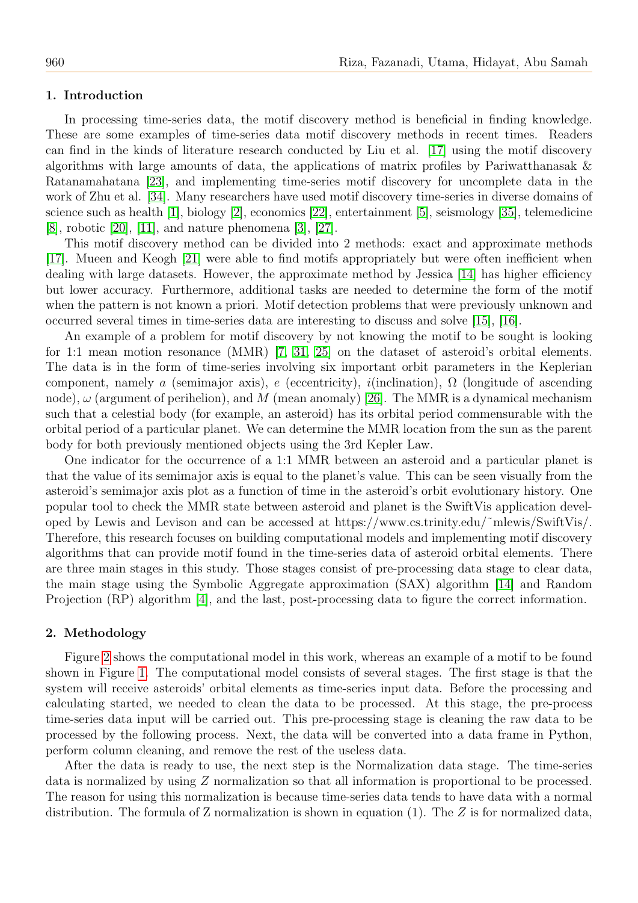#### 1. Introduction

In processing time-series data, the motif discovery method is beneficial in finding knowledge. These are some examples of time-series data motif discovery methods in recent times. Readers can find in the kinds of literature research conducted by Liu et al. [\[17\]](#page-10-0) using the motif discovery algorithms with large amounts of data, the applications of matrix profiles by Pariwatthanasak & Ratanamahatana [\[23\]](#page-10-1), and implementing time-series motif discovery for uncomplete data in the work of Zhu et al. [\[34\]](#page-11-0). Many researchers have used motif discovery time-series in diverse domains of science such as health [\[1\]](#page-10-2), biology [\[2\]](#page-10-3), economics [\[22\]](#page-10-4), entertainment [\[5\]](#page-10-5), seismology [\[35\]](#page-11-1), telemedicine [\[8\]](#page-10-6), robotic [\[20\]](#page-10-7), [\[11\]](#page-10-8), and nature phenomena [\[3\]](#page-10-9), [\[27\]](#page-11-2).

This motif discovery method can be divided into 2 methods: exact and approximate methods [\[17\]](#page-10-0). Mueen and Keogh [\[21\]](#page-10-10) were able to find motifs appropriately but were often inefficient when dealing with large datasets. However, the approximate method by Jessica [\[14\]](#page-10-11) has higher efficiency but lower accuracy. Furthermore, additional tasks are needed to determine the form of the motif when the pattern is not known a priori. Motif detection problems that were previously unknown and occurred several times in time-series data are interesting to discuss and solve [\[15\]](#page-10-12), [\[16\]](#page-10-13).

An example of a problem for motif discovery by not knowing the motif to be sought is looking for 1:1 mean motion resonance (MMR) [\[7,](#page-10-14) [31,](#page-11-3) [25\]](#page-11-4) on the dataset of asteroid's orbital elements. The data is in the form of time-series involving six important orbit parameters in the Keplerian component, namely a (semimajor axis), e (eccentricity), i(inclination),  $\Omega$  (longitude of ascending node),  $\omega$  (argument of perihelion), and M (mean anomaly) [\[26\]](#page-11-5). The MMR is a dynamical mechanism such that a celestial body (for example, an asteroid) has its orbital period commensurable with the orbital period of a particular planet. We can determine the MMR location from the sun as the parent body for both previously mentioned objects using the 3rd Kepler Law.

One indicator for the occurrence of a 1:1 MMR between an asteroid and a particular planet is that the value of its semimajor axis is equal to the planet's value. This can be seen visually from the asteroid's semimajor axis plot as a function of time in the asteroid's orbit evolutionary history. One popular tool to check the MMR state between asteroid and planet is the SwiftVis application developed by Lewis and Levison and can be accessed at https://www.cs.trinity.edu/˜mlewis/SwiftVis/. Therefore, this research focuses on building computational models and implementing motif discovery algorithms that can provide motif found in the time-series data of asteroid orbital elements. There are three main stages in this study. Those stages consist of pre-processing data stage to clear data, the main stage using the Symbolic Aggregate approximation (SAX) algorithm [\[14\]](#page-10-11) and Random Projection (RP) algorithm [\[4\]](#page-10-15), and the last, post-processing data to figure the correct information.

#### 2. Methodology

Figure [2](#page-3-0) shows the computational model in this work, whereas an example of a motif to be found shown in Figure [1.](#page-2-0) The computational model consists of several stages. The first stage is that the system will receive asteroids' orbital elements as time-series input data. Before the processing and calculating started, we needed to clean the data to be processed. At this stage, the pre-process time-series data input will be carried out. This pre-processing stage is cleaning the raw data to be processed by the following process. Next, the data will be converted into a data frame in Python, perform column cleaning, and remove the rest of the useless data.

After the data is ready to use, the next step is the Normalization data stage. The time-series data is normalized by using Z normalization so that all information is proportional to be processed. The reason for using this normalization is because time-series data tends to have data with a normal distribution. The formula of Z normalization is shown in equation  $(1)$ . The Z is for normalized data,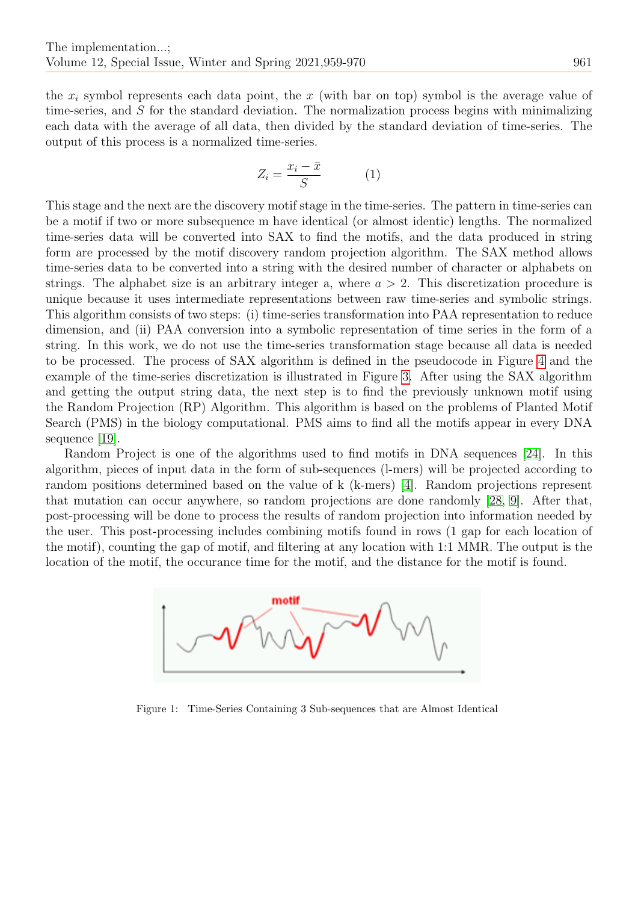the  $x_i$  symbol represents each data point, the x (with bar on top) symbol is the average value of time-series, and S for the standard deviation. The normalization process begins with minimalizing each data with the average of all data, then divided by the standard deviation of time-series. The output of this process is a normalized time-series.

$$
Z_i = \frac{x_i - \bar{x}}{S} \tag{1}
$$

This stage and the next are the discovery motif stage in the time-series. The pattern in time-series can be a motif if two or more subsequence m have identical (or almost identic) lengths. The normalized time-series data will be converted into SAX to find the motifs, and the data produced in string form are processed by the motif discovery random projection algorithm. The SAX method allows time-series data to be converted into a string with the desired number of character or alphabets on strings. The alphabet size is an arbitrary integer a, where  $a > 2$ . This discretization procedure is unique because it uses intermediate representations between raw time-series and symbolic strings. This algorithm consists of two steps: (i) time-series transformation into PAA representation to reduce dimension, and (ii) PAA conversion into a symbolic representation of time series in the form of a string. In this work, we do not use the time-series transformation stage because all data is needed to be processed. The process of SAX algorithm is defined in the pseudocode in Figure [4](#page-4-0) and the example of the time-series discretization is illustrated in Figure [3.](#page-4-1) After using the SAX algorithm and getting the output string data, the next step is to find the previously unknown motif using the Random Projection (RP) Algorithm. This algorithm is based on the problems of Planted Motif Search (PMS) in the biology computational. PMS aims to find all the motifs appear in every DNA sequence [\[19\]](#page-10-16).

Random Project is one of the algorithms used to find motifs in DNA sequences [\[24\]](#page-11-6). In this algorithm, pieces of input data in the form of sub-sequences (l-mers) will be projected according to random positions determined based on the value of k (k-mers) [\[4\]](#page-10-15). Random projections represent that mutation can occur anywhere, so random projections are done randomly [\[28,](#page-11-7) [9\]](#page-10-17). After that, post-processing will be done to process the results of random projection into information needed by the user. This post-processing includes combining motifs found in rows (1 gap for each location of the motif), counting the gap of motif, and filtering at any location with 1:1 MMR. The output is the location of the motif, the occurance time for the motif, and the distance for the motif is found.



<span id="page-2-0"></span>Figure 1: Time-Series Containing 3 Sub-sequences that are Almost Identical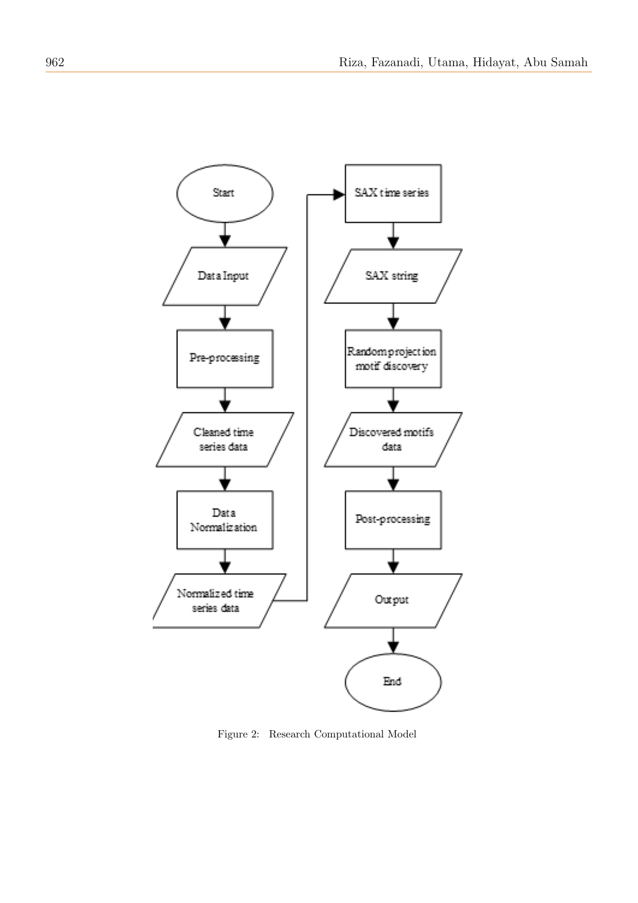

<span id="page-3-0"></span>Figure 2: Research Computational Model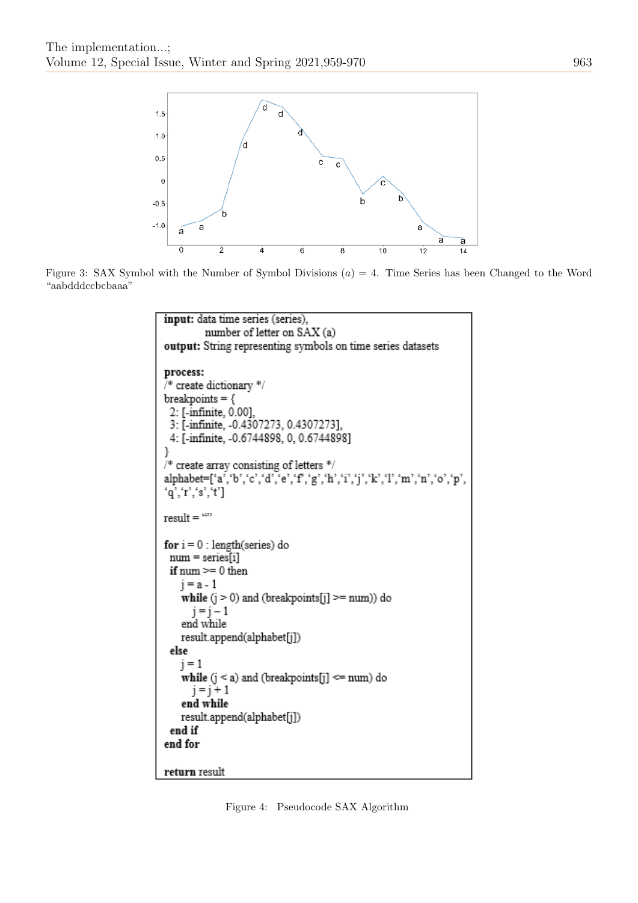

Figure 3: SAX Symbol with the Number of Symbol Divisions  $(a) = 4$ . Time Series has been Changed to the Word "aabdddccbcbaaa"

```
input: data time series (series),
         number of letter on SAX (a)
output: String representing symbols on time series datasets
process:
* create dictionary */
breakpoints = \{2: [-infinite, 0.00].
 3: [-infinite, -0.4307273, 0.4307273],
 4: [-infinite, -0.6744898, 0, 0.6744898]
ł
/* create array consisting of letters */alphabet=['a','b','c','d','e','f','g','h','i','j','k','l','m','n','o','p',
q', r', s', t']result = \frac{1}{2}for i = 0: length(series) do
 num = series[i]if num >= 0 then
   i = a - 1while (j > 0) and (breakpoints[j] >= num)) do
      i = i - 1end while
   result.append(alphabet[j])
 else
   i = 1while (j < a) and (breakpoints[j] \le= num) do
      j = j + 1end while
   result.append(alphabet[j])
 end if
end for
return result
```
<span id="page-4-0"></span>Figure 4: Pseudocode SAX Algorithm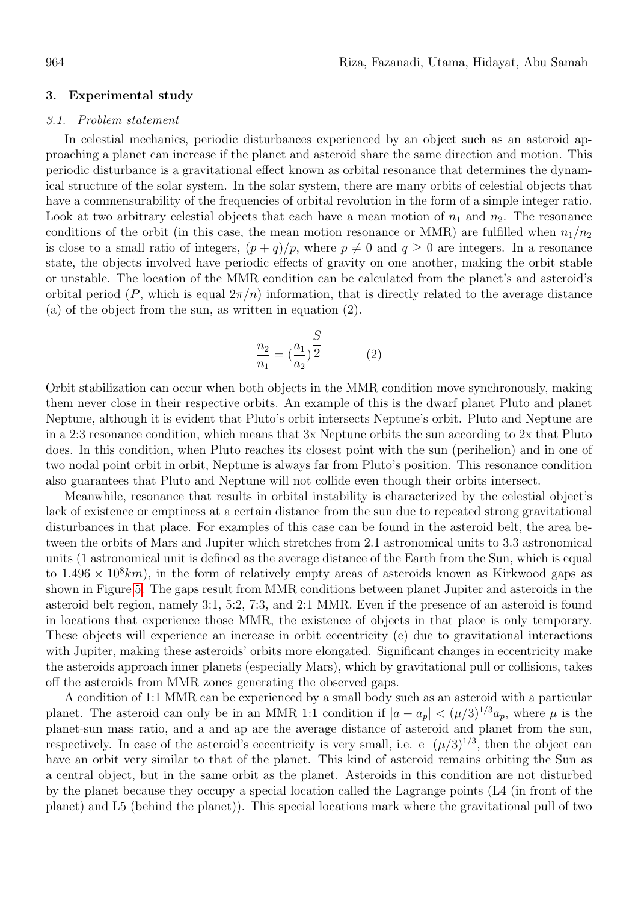### 3. Experimental study

#### 3.1. Problem statement

In celestial mechanics, periodic disturbances experienced by an object such as an asteroid approaching a planet can increase if the planet and asteroid share the same direction and motion. This periodic disturbance is a gravitational effect known as orbital resonance that determines the dynamical structure of the solar system. In the solar system, there are many orbits of celestial objects that have a commensurability of the frequencies of orbital revolution in the form of a simple integer ratio. Look at two arbitrary celestial objects that each have a mean motion of  $n_1$  and  $n_2$ . The resonance conditions of the orbit (in this case, the mean motion resonance or MMR) are fulfilled when  $n_1/n_2$ is close to a small ratio of integers,  $(p+q)/p$ , where  $p \neq 0$  and  $q \geq 0$  are integers. In a resonance state, the objects involved have periodic effects of gravity on one another, making the orbit stable or unstable. The location of the MMR condition can be calculated from the planet's and asteroid's orbital period (P, which is equal  $2\pi/n$ ) information, that is directly related to the average distance (a) of the object from the sun, as written in equation (2).

$$
\frac{n_2}{n_1} = \left(\frac{a_1}{a_2}\right)^{\frac{S}{2}} \tag{2}
$$

Orbit stabilization can occur when both objects in the MMR condition move synchronously, making them never close in their respective orbits. An example of this is the dwarf planet Pluto and planet Neptune, although it is evident that Pluto's orbit intersects Neptune's orbit. Pluto and Neptune are in a 2:3 resonance condition, which means that 3x Neptune orbits the sun according to 2x that Pluto does. In this condition, when Pluto reaches its closest point with the sun (perihelion) and in one of two nodal point orbit in orbit, Neptune is always far from Pluto's position. This resonance condition also guarantees that Pluto and Neptune will not collide even though their orbits intersect.

Meanwhile, resonance that results in orbital instability is characterized by the celestial object's lack of existence or emptiness at a certain distance from the sun due to repeated strong gravitational disturbances in that place. For examples of this case can be found in the asteroid belt, the area between the orbits of Mars and Jupiter which stretches from 2.1 astronomical units to 3.3 astronomical units (1 astronomical unit is defined as the average distance of the Earth from the Sun, which is equal to  $1.496 \times 10^8 km$ , in the form of relatively empty areas of asteroids known as Kirkwood gaps as shown in Figure [5.](#page-6-0) The gaps result from MMR conditions between planet Jupiter and asteroids in the asteroid belt region, namely 3:1, 5:2, 7:3, and 2:1 MMR. Even if the presence of an asteroid is found in locations that experience those MMR, the existence of objects in that place is only temporary. These objects will experience an increase in orbit eccentricity (e) due to gravitational interactions with Jupiter, making these asteroids' orbits more elongated. Significant changes in eccentricity make the asteroids approach inner planets (especially Mars), which by gravitational pull or collisions, takes off the asteroids from MMR zones generating the observed gaps.

A condition of 1:1 MMR can be experienced by a small body such as an asteroid with a particular planet. The asteroid can only be in an MMR 1:1 condition if  $|a - a_p| < (\mu/3)^{1/3} a_p$ , where  $\mu$  is the planet-sun mass ratio, and a and ap are the average distance of asteroid and planet from the sun, respectively. In case of the asteroid's eccentricity is very small, i.e. e  $(\mu/3)^{1/3}$ , then the object can have an orbit very similar to that of the planet. This kind of asteroid remains orbiting the Sun as a central object, but in the same orbit as the planet. Asteroids in this condition are not disturbed by the planet because they occupy a special location called the Lagrange points (L4 (in front of the planet) and L5 (behind the planet)). This special locations mark where the gravitational pull of two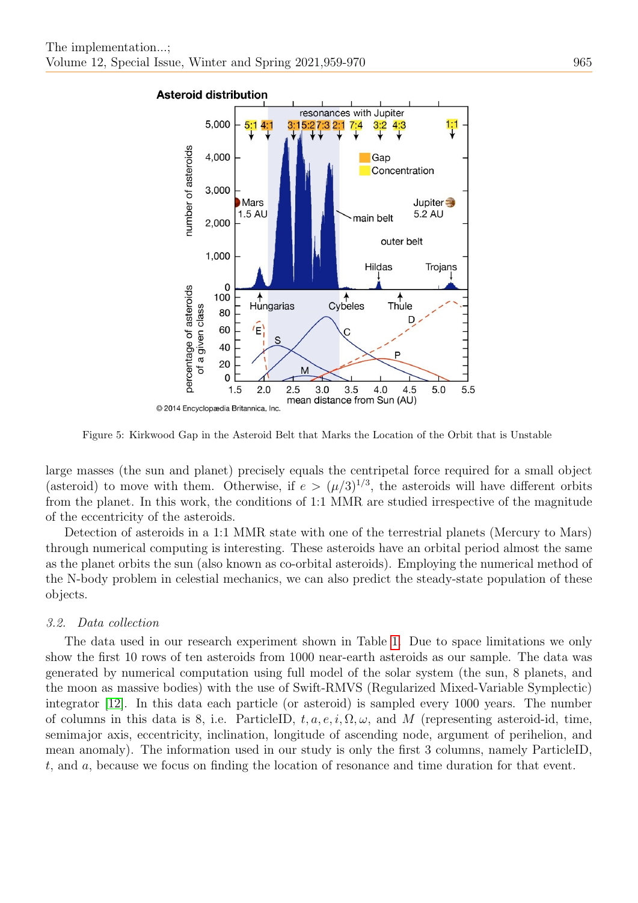

<span id="page-6-0"></span>Figure 5: Kirkwood Gap in the Asteroid Belt that Marks the Location of the Orbit that is Unstable

large masses (the sun and planet) precisely equals the centripetal force required for a small object (asteroid) to move with them. Otherwise, if  $e > (\mu/3)^{1/3}$ , the asteroids will have different orbits from the planet. In this work, the conditions of 1:1 MMR are studied irrespective of the magnitude of the eccentricity of the asteroids.

Detection of asteroids in a 1:1 MMR state with one of the terrestrial planets (Mercury to Mars) through numerical computing is interesting. These asteroids have an orbital period almost the same as the planet orbits the sun (also known as co-orbital asteroids). Employing the numerical method of the N-body problem in celestial mechanics, we can also predict the steady-state population of these objects.

#### 3.2. Data collection

The data used in our research experiment shown in Table [1.](#page-7-0) Due to space limitations we only show the first 10 rows of ten asteroids from 1000 near-earth asteroids as our sample. The data was generated by numerical computation using full model of the solar system (the sun, 8 planets, and the moon as massive bodies) with the use of Swift-RMVS (Regularized Mixed-Variable Symplectic) integrator [\[12\]](#page-10-18). In this data each particle (or asteroid) is sampled every 1000 years. The number of columns in this data is 8, i.e. ParticleID,  $t, a, e, i, \Omega, \omega$ , and M (representing asteroid-id, time, semimajor axis, eccentricity, inclination, longitude of ascending node, argument of perihelion, and mean anomaly). The information used in our study is only the first 3 columns, namely ParticleID, t, and a, because we focus on finding the location of resonance and time duration for that event.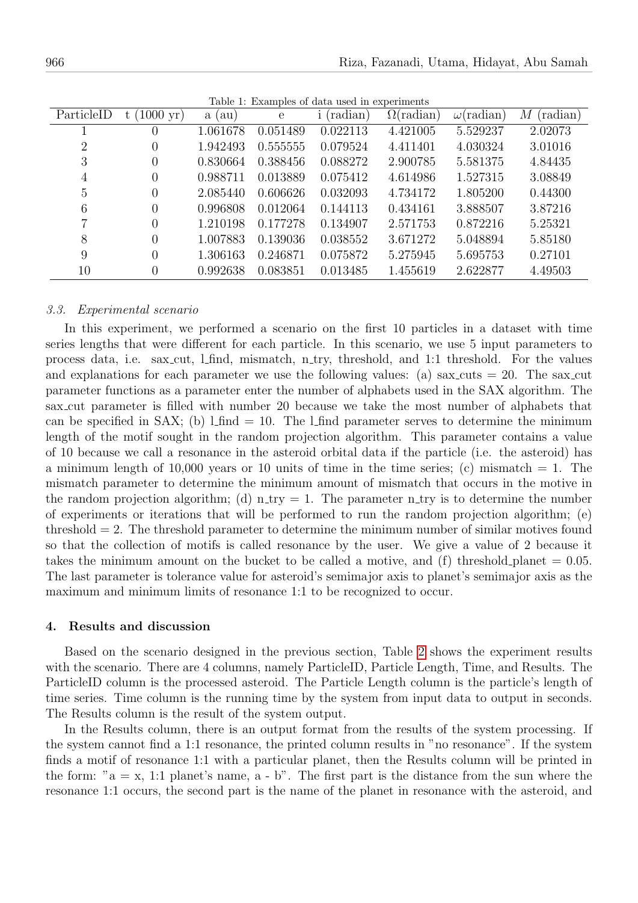<span id="page-7-0"></span>

| ParticleID     | $(1000 \text{ yr})$<br>t ( | a (au)   | $\mathbf{e}$ | Table 1. Examples of data used in experiments<br>(radian) | $\Omega(\text{radian})$ | $\omega$ (radian) | (radian)<br>М |
|----------------|----------------------------|----------|--------------|-----------------------------------------------------------|-------------------------|-------------------|---------------|
|                | $\theta$                   | 1.061678 | 0.051489     | 0.022113                                                  | 4.421005                | 5.529237          | 2.02073       |
| $\overline{2}$ | $\overline{0}$             | 1.942493 | 0.555555     | 0.079524                                                  | 4.411401                | 4.030324          | 3.01016       |
| 3              | $\overline{0}$             | 0.830664 | 0.388456     | 0.088272                                                  | 2.900785                | 5.581375          | 4.84435       |
| $\overline{4}$ | $\overline{0}$             | 0.988711 | 0.013889     | 0.075412                                                  | 4.614986                | 1.527315          | 3.08849       |
| $\overline{5}$ | $\overline{0}$             | 2.085440 | 0.606626     | 0.032093                                                  | 4.734172                | 1.805200          | 0.44300       |
| 6              | $\overline{0}$             | 0.996808 | 0.012064     | 0.144113                                                  | 0.434161                | 3.888507          | 3.87216       |
| 7              | $\overline{0}$             | 1.210198 | 0.177278     | 0.134907                                                  | 2.571753                | 0.872216          | 5.25321       |
| 8              | $\Omega$                   | 1.007883 | 0.139036     | 0.038552                                                  | 3.671272                | 5.048894          | 5.85180       |
| 9              | $\theta$                   | 1.306163 | 0.246871     | 0.075872                                                  | 5.275945                | 5.695753          | 0.27101       |
| 10             | $\overline{0}$             | 0.992638 | 0.083851     | 0.013485                                                  | 1.455619                | 2.622877          | 4.49503       |

Table 1: Examples of data used in experiments

#### 3.3. Experimental scenario

In this experiment, we performed a scenario on the first 10 particles in a dataset with time series lengths that were different for each particle. In this scenario, we use 5 input parameters to process data, i.e. sax cut, l find, mismatch, n try, threshold, and 1:1 threshold. For the values and explanations for each parameter we use the following values: (a) sax cuts  $= 20$ . The sax cut parameter functions as a parameter enter the number of alphabets used in the SAX algorithm. The sax cut parameter is filled with number 20 because we take the most number of alphabets that can be specified in SAX; (b)  $1$  find = 10. The  $1$  find parameter serves to determine the minimum length of the motif sought in the random projection algorithm. This parameter contains a value of 10 because we call a resonance in the asteroid orbital data if the particle (i.e. the asteroid) has a minimum length of 10,000 years or 10 units of time in the time series; (c) mismatch  $= 1$ . The mismatch parameter to determine the minimum amount of mismatch that occurs in the motive in the random projection algorithm; (d) n try = 1. The parameter n try is to determine the number of experiments or iterations that will be performed to run the random projection algorithm; (e) threshold = 2. The threshold parameter to determine the minimum number of similar motives found so that the collection of motifs is called resonance by the user. We give a value of 2 because it takes the minimum amount on the bucket to be called a motive, and  $(f)$  threshold planet = 0.05. The last parameter is tolerance value for asteroid's semimajor axis to planet's semimajor axis as the maximum and minimum limits of resonance 1:1 to be recognized to occur.

#### 4. Results and discussion

Based on the scenario designed in the previous section, Table [2](#page-8-0) shows the experiment results with the scenario. There are 4 columns, namely ParticleID, Particle Length, Time, and Results. The ParticleID column is the processed asteroid. The Particle Length column is the particle's length of time series. Time column is the running time by the system from input data to output in seconds. The Results column is the result of the system output.

In the Results column, there is an output format from the results of the system processing. If the system cannot find a 1:1 resonance, the printed column results in "no resonance". If the system finds a motif of resonance 1:1 with a particular planet, then the Results column will be printed in the form: " $a = x$ , 1:1 planet's name,  $a - b$ ". The first part is the distance from the sun where the resonance 1:1 occurs, the second part is the name of the planet in resonance with the asteroid, and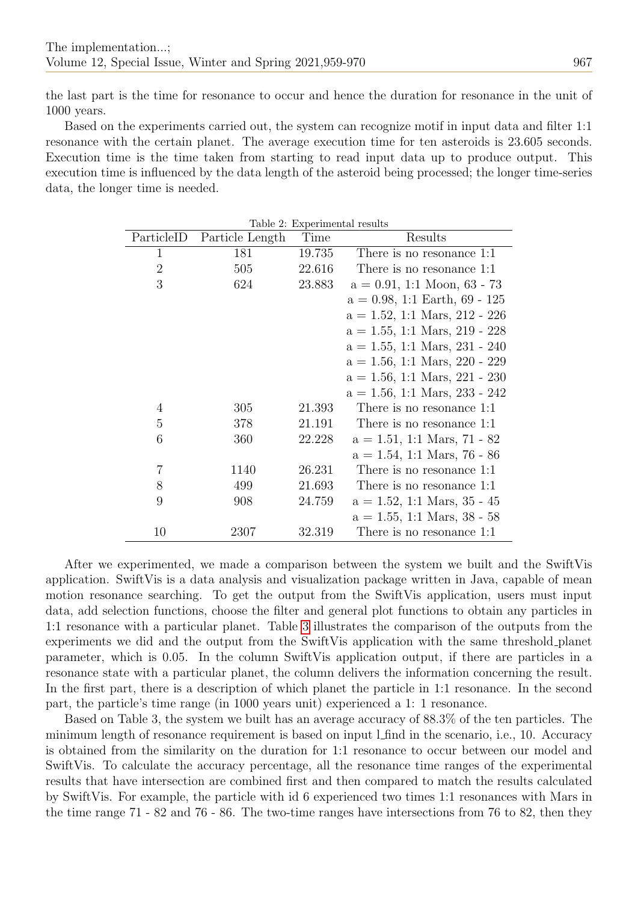the last part is the time for resonance to occur and hence the duration for resonance in the unit of 1000 years.

Based on the experiments carried out, the system can recognize motif in input data and filter 1:1 resonance with the certain planet. The average execution time for ten asteroids is 23.605 seconds. Execution time is the time taken from starting to read input data up to produce output. This execution time is influenced by the data length of the asteroid being processed; the longer time-series data, the longer time is needed.

<span id="page-8-0"></span>

| Table 2: Experimental results |                 |        |                                  |  |  |  |  |
|-------------------------------|-----------------|--------|----------------------------------|--|--|--|--|
| ParticleID                    | Particle Length | Time   | Results                          |  |  |  |  |
| $\mathbf{1}$                  | 181             | 19.735 | There is no resonance 1:1        |  |  |  |  |
| $\overline{2}$                | 505             | 22.616 | There is no resonance 1:1        |  |  |  |  |
| 3                             | 624             | 23.883 | $a = 0.91, 1:1$ Moon, 63 - 73    |  |  |  |  |
|                               |                 |        | $a = 0.98, 1.1$ Earth, 69 - 125  |  |  |  |  |
|                               |                 |        | $a = 1.52$ , 1:1 Mars, 212 - 226 |  |  |  |  |
|                               |                 |        | $a = 1.55$ , 1:1 Mars, 219 - 228 |  |  |  |  |
|                               |                 |        | $a = 1.55$ , 1:1 Mars, 231 - 240 |  |  |  |  |
|                               |                 |        | $a = 1.56$ , 1:1 Mars, 220 - 229 |  |  |  |  |
|                               |                 |        | $a = 1.56$ , 1:1 Mars, 221 - 230 |  |  |  |  |
|                               |                 |        | $a = 1.56, 1.1$ Mars, 233 - 242  |  |  |  |  |
| 4                             | 305             | 21.393 | There is no resonance 1:1        |  |  |  |  |
| 5                             | 378             | 21.191 | There is no resonance 1:1        |  |  |  |  |
| 6                             | 360             | 22.228 | $a = 1.51, 1.1$ Mars, 71 - 82    |  |  |  |  |
|                               |                 |        | $a = 1.54$ , 1:1 Mars, 76 - 86   |  |  |  |  |
| $\overline{7}$                | 1140            | 26.231 | There is no resonance 1:1        |  |  |  |  |
| 8                             | 499             | 21.693 | There is no resonance 1:1        |  |  |  |  |
| 9                             | 908             | 24.759 | $a = 1.52$ , 1:1 Mars, 35 - 45   |  |  |  |  |
|                               |                 |        | $a = 1.55, 1.1$ Mars, 38 - 58    |  |  |  |  |
| 10                            | 2307            | 32.319 | There is no resonance 1:1        |  |  |  |  |

After we experimented, we made a comparison between the system we built and the SwiftVis application. SwiftVis is a data analysis and visualization package written in Java, capable of mean motion resonance searching. To get the output from the SwiftVis application, users must input data, add selection functions, choose the filter and general plot functions to obtain any particles in 1:1 resonance with a particular planet. Table [3](#page-9-0) illustrates the comparison of the outputs from the experiments we did and the output from the SwiftVis application with the same threshold planet parameter, which is 0.05. In the column SwiftVis application output, if there are particles in a resonance state with a particular planet, the column delivers the information concerning the result. In the first part, there is a description of which planet the particle in 1:1 resonance. In the second part, the particle's time range (in 1000 years unit) experienced a 1: 1 resonance.

Based on Table 3, the system we built has an average accuracy of 88.3% of the ten particles. The minimum length of resonance requirement is based on input l find in the scenario, i.e., 10. Accuracy is obtained from the similarity on the duration for 1:1 resonance to occur between our model and SwiftVis. To calculate the accuracy percentage, all the resonance time ranges of the experimental results that have intersection are combined first and then compared to match the results calculated by SwiftVis. For example, the particle with id 6 experienced two times 1:1 resonances with Mars in the time range 71 - 82 and 76 - 86. The two-time ranges have intersections from 76 to 82, then they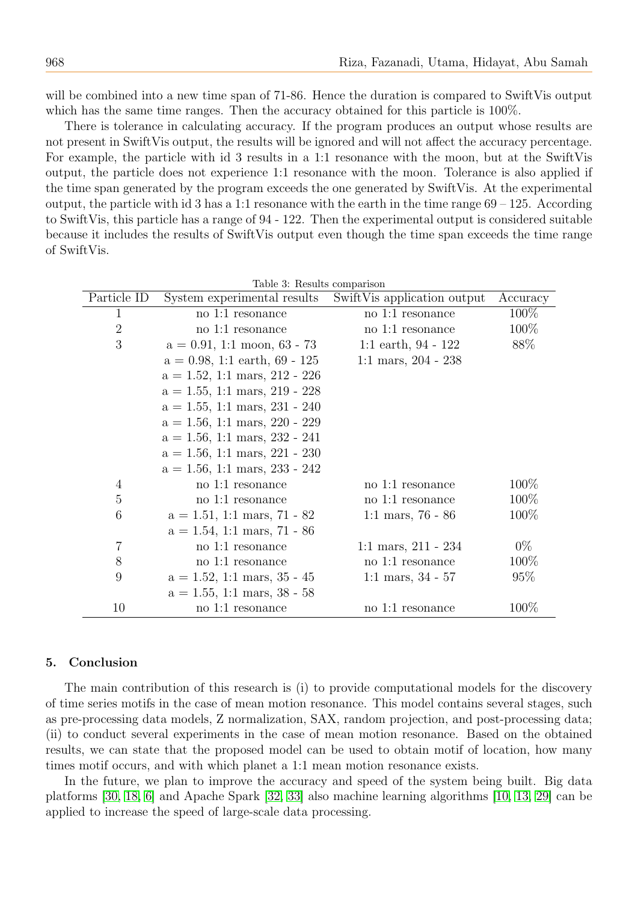will be combined into a new time span of 71-86. Hence the duration is compared to SwiftVis output which has the same time ranges. Then the accuracy obtained for this particle is 100%.

There is tolerance in calculating accuracy. If the program produces an output whose results are not present in SwiftVis output, the results will be ignored and will not affect the accuracy percentage. For example, the particle with id 3 results in a 1:1 resonance with the moon, but at the SwiftVis output, the particle does not experience 1:1 resonance with the moon. Tolerance is also applied if the time span generated by the program exceeds the one generated by SwiftVis. At the experimental output, the particle with id 3 has a 1:1 resonance with the earth in the time range  $69 - 125$ . According to SwiftVis, this particle has a range of 94 - 122. Then the experimental output is considered suitable because it includes the results of SwiftVis output even though the time span exceeds the time range of SwiftVis.

 $m11.0; m$ 

<span id="page-9-0"></span>

|                | Table 5: Results comparison           |                              |          |  |  |  |  |
|----------------|---------------------------------------|------------------------------|----------|--|--|--|--|
| Particle ID    | System experimental results           | Swift Vis application output | Accuracy |  |  |  |  |
| $\mathbf 1$    | no 1:1 resonance                      | no 1:1 resonance             | 100\%    |  |  |  |  |
| $\overline{2}$ | no 1:1 resonance                      | no 1:1 resonance             | 100\%    |  |  |  |  |
| 3              | $a = 0.91, 1:1 \text{ moon}, 63 - 73$ | 1:1 earth, $94 - 122$        | 88%      |  |  |  |  |
|                | $a = 0.98$ , 1:1 earth, 69 - 125      | 1:1 mars, $204 - 238$        |          |  |  |  |  |
|                | $a = 1.52$ , 1:1 mars, 212 - 226      |                              |          |  |  |  |  |
|                | $a = 1.55, 1.1$ mars, 219 - 228       |                              |          |  |  |  |  |
|                | $a = 1.55$ , 1:1 mars, 231 - 240      |                              |          |  |  |  |  |
|                | $a = 1.56, 1.1$ mars, 220 - 229       |                              |          |  |  |  |  |
|                | $a = 1.56$ , 1:1 mars, 232 - 241      |                              |          |  |  |  |  |
|                | $a = 1.56, 1.1$ mars, 221 - 230       |                              |          |  |  |  |  |
|                | $a = 1.56$ , 1:1 mars, 233 - 242      |                              |          |  |  |  |  |
| 4              | no 1:1 resonance                      | no 1:1 resonance             | 100\%    |  |  |  |  |
| $\overline{5}$ | no 1:1 resonance                      | no 1:1 resonance             | 100\%    |  |  |  |  |
| 6              | $a = 1.51, 1.1$ mars, 71 - 82         | 1:1 mars, $76 - 86$          | 100\%    |  |  |  |  |
|                | $a = 1.54$ , 1:1 mars, 71 - 86        |                              |          |  |  |  |  |
| $\overline{7}$ | no 1:1 resonance                      | 1:1 mars, $211 - 234$        | $0\%$    |  |  |  |  |
| 8              | no 1:1 resonance                      | no 1:1 resonance             | $100\%$  |  |  |  |  |
| 9              | $a = 1.52$ , 1:1 mars, 35 - 45        | 1:1 mars, $34 - 57$          | 95%      |  |  |  |  |
|                | $a = 1.55, 1.1$ mars, 38 - 58         |                              |          |  |  |  |  |
| 10             | no 1:1 resonance                      | no 1:1 resonance             | $100\%$  |  |  |  |  |
|                |                                       |                              |          |  |  |  |  |

# 5. Conclusion

The main contribution of this research is (i) to provide computational models for the discovery of time series motifs in the case of mean motion resonance. This model contains several stages, such as pre-processing data models, Z normalization, SAX, random projection, and post-processing data; (ii) to conduct several experiments in the case of mean motion resonance. Based on the obtained results, we can state that the proposed model can be used to obtain motif of location, how many times motif occurs, and with which planet a 1:1 mean motion resonance exists.

In the future, we plan to improve the accuracy and speed of the system being built. Big data platforms [\[30,](#page-11-8) [18,](#page-10-19) [6\]](#page-10-20) and Apache Spark [\[32,](#page-11-9) [33\]](#page-11-10) also machine learning algorithms [\[10,](#page-10-21) [13,](#page-10-22) [29\]](#page-11-11) can be applied to increase the speed of large-scale data processing.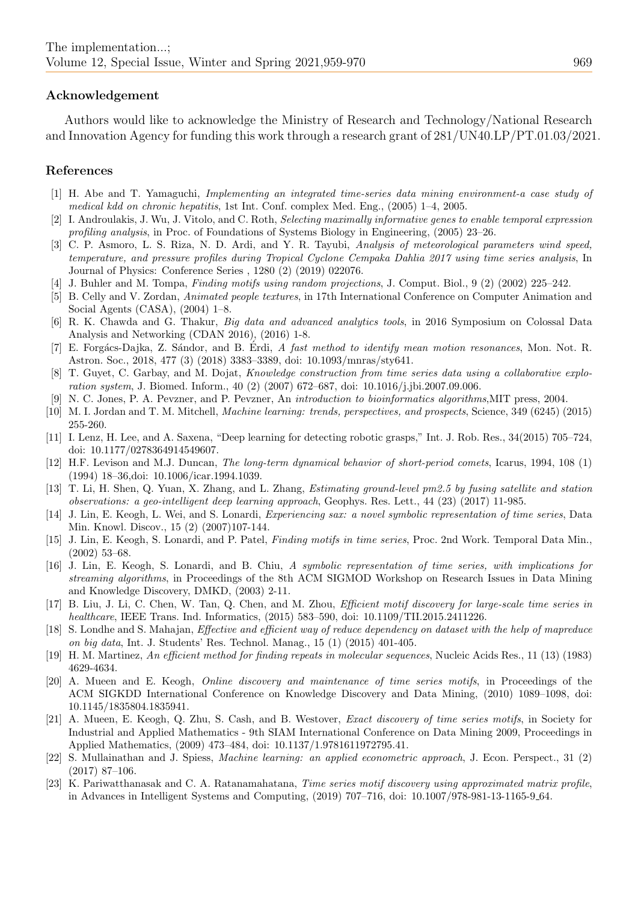#### Acknowledgement

Authors would like to acknowledge the Ministry of Research and Technology/National Research and Innovation Agency for funding this work through a research grant of 281/UN40.LP/PT.01.03/2021.

#### References

- <span id="page-10-2"></span>[1] H. Abe and T. Yamaguchi, Implementing an integrated time-series data mining environment-a case study of medical kdd on chronic hepatitis, 1st Int. Conf. complex Med. Eng., (2005) 1–4, 2005.
- <span id="page-10-3"></span>[2] I. Androulakis, J. Wu, J. Vitolo, and C. Roth, Selecting maximally informative genes to enable temporal expression profiling analysis, in Proc. of Foundations of Systems Biology in Engineering, (2005) 23–26.
- <span id="page-10-9"></span>[3] C. P. Asmoro, L. S. Riza, N. D. Ardi, and Y. R. Tayubi, Analysis of meteorological parameters wind speed, temperature, and pressure profiles during Tropical Cyclone Cempaka Dahlia 2017 using time series analysis, In Journal of Physics: Conference Series , 1280 (2) (2019) 022076.
- <span id="page-10-15"></span>[4] J. Buhler and M. Tompa, Finding motifs using random projections, J. Comput. Biol., 9 (2) (2002) 225–242.
- <span id="page-10-5"></span>[5] B. Celly and V. Zordan, Animated people textures, in 17th International Conference on Computer Animation and Social Agents (CASA), (2004) 1–8.
- <span id="page-10-20"></span>[6] R. K. Chawda and G. Thakur, Big data and advanced analytics tools, in 2016 Symposium on Colossal Data Analysis and Networking (CDAN 2016), (2016) 1-8.
- <span id="page-10-14"></span>[7] E. Forgács-Dajka, Z. Sándor, and B. Erdi, A fast method to identify mean motion resonances, Mon. Not. R. Astron. Soc., 2018, 477 (3) (2018) 3383–3389, doi: 10.1093/mnras/sty641.
- <span id="page-10-6"></span>[8] T. Guyet, C. Garbay, and M. Dojat, *Knowledge construction from time series data using a collaborative explo*ration system, J. Biomed. Inform., 40 (2) (2007) 672–687, doi: 10.1016/j.jbi.2007.09.006.
- <span id="page-10-17"></span>[9] N. C. Jones, P. A. Pevzner, and P. Pevzner, An introduction to bioinformatics algorithms,MIT press, 2004.
- <span id="page-10-21"></span>[10] M. I. Jordan and T. M. Mitchell, Machine learning: trends, perspectives, and prospects, Science, 349 (6245) (2015) 255-260.
- <span id="page-10-8"></span>[11] I. Lenz, H. Lee, and A. Saxena, "Deep learning for detecting robotic grasps," Int. J. Rob. Res., 34(2015) 705–724, doi: 10.1177/0278364914549607.
- <span id="page-10-18"></span>[12] H.F. Levison and M.J. Duncan, The long-term dynamical behavior of short-period comets, Icarus, 1994, 108 (1) (1994) 18–36,doi: 10.1006/icar.1994.1039.
- <span id="page-10-22"></span>[13] T. Li, H. Shen, Q. Yuan, X. Zhang, and L. Zhang, Estimating ground-level pm2.5 by fusing satellite and station observations: a geo-intelligent deep learning approach, Geophys. Res. Lett., 44 (23) (2017) 11-985.
- <span id="page-10-11"></span>[14] J. Lin, E. Keogh, L. Wei, and S. Lonardi, Experiencing sax: a novel symbolic representation of time series, Data Min. Knowl. Discov., 15 (2) (2007)107-144.
- <span id="page-10-12"></span>[15] J. Lin, E. Keogh, S. Lonardi, and P. Patel, Finding motifs in time series, Proc. 2nd Work. Temporal Data Min., (2002) 53–68.
- <span id="page-10-13"></span>[16] J. Lin, E. Keogh, S. Lonardi, and B. Chiu, A symbolic representation of time series, with implications for streaming algorithms, in Proceedings of the 8th ACM SIGMOD Workshop on Research Issues in Data Mining and Knowledge Discovery, DMKD, (2003) 2-11.
- <span id="page-10-0"></span>[17] B. Liu, J. Li, C. Chen, W. Tan, Q. Chen, and M. Zhou, Efficient motif discovery for large-scale time series in healthcare, IEEE Trans. Ind. Informatics, (2015) 583–590, doi: 10.1109/TII.2015.2411226.
- <span id="page-10-19"></span>[18] S. Londhe and S. Mahajan, Effective and efficient way of reduce dependency on dataset with the help of mapreduce on big data, Int. J. Students' Res. Technol. Manag., 15 (1) (2015) 401-405.
- <span id="page-10-16"></span>[19] H. M. Martinez, An efficient method for finding repeats in molecular sequences, Nucleic Acids Res., 11 (13) (1983) 4629-4634.
- <span id="page-10-7"></span>[20] A. Mueen and E. Keogh, Online discovery and maintenance of time series motifs, in Proceedings of the ACM SIGKDD International Conference on Knowledge Discovery and Data Mining, (2010) 1089–1098, doi: 10.1145/1835804.1835941.
- <span id="page-10-10"></span>[21] A. Mueen, E. Keogh, Q. Zhu, S. Cash, and B. Westover, Exact discovery of time series motifs, in Society for Industrial and Applied Mathematics - 9th SIAM International Conference on Data Mining 2009, Proceedings in Applied Mathematics, (2009) 473–484, doi: 10.1137/1.9781611972795.41.
- <span id="page-10-4"></span>[22] S. Mullainathan and J. Spiess, Machine learning: an applied econometric approach, J. Econ. Perspect., 31 (2) (2017) 87–106.
- <span id="page-10-1"></span>[23] K. Pariwatthanasak and C. A. Ratanamahatana, Time series motif discovery using approximated matrix profile, in Advances in Intelligent Systems and Computing, (2019) 707–716, doi: 10.1007/978-981-13-1165-9 64.